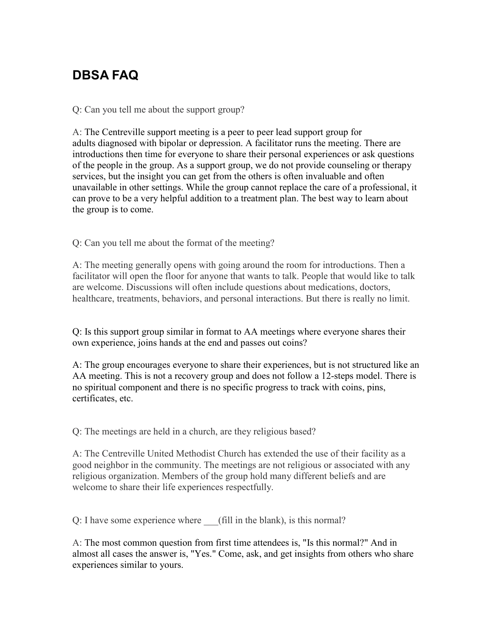## **DBSA FAQ**

Q: Can you tell me about the support group?

A: The Centreville support meeting is a peer to peer lead support group for adults diagnosed with bipolar or depression. A facilitator runs the meeting. There are introductions then time for everyone to share their personal experiences or ask questions of the people in the group. As a support group, we do not provide counseling or therapy services, but the insight you can get from the others is often invaluable and often unavailable in other settings. While the group cannot replace the care of a professional, it can prove to be a very helpful addition to a treatment plan. The best way to learn about the group is to come.

Q: Can you tell me about the format of the meeting?

A: The meeting generally opens with going around the room for introductions. Then a facilitator will open the floor for anyone that wants to talk. People that would like to talk are welcome. Discussions will often include questions about medications, doctors, healthcare, treatments, behaviors, and personal interactions. But there is really no limit.

Q: Is this support group similar in format to AA meetings where everyone shares their own experience, joins hands at the end and passes out coins?

A: The group encourages everyone to share their experiences, but is not structured like an AA meeting. This is not a recovery group and does not follow a 12-steps model. There is no spiritual component and there is no specific progress to track with coins, pins, certificates, etc.

Q: The meetings are held in a church, are they religious based?

A: The Centreville United Methodist Church has extended the use of their facility as a good neighbor in the community. The meetings are not religious or associated with any religious organization. Members of the group hold many different beliefs and are welcome to share their life experiences respectfully.

Q: I have some experience where (fill in the blank), is this normal?

A: The most common question from first time attendees is, "Is this normal?" And in almost all cases the answer is, "Yes." Come, ask, and get insights from others who share experiences similar to yours.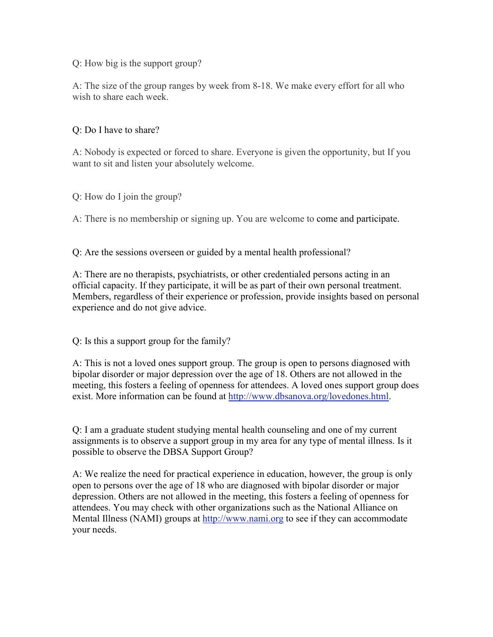Q: How big is the support group?

A: The size of the group ranges by week from 8-18. We make every effort for all who wish to share each week.

## Q: Do I have to share?

A: Nobody is expected or forced to share. Everyone is given the opportunity, but If you want to sit and listen your absolutely welcome.

Q: How do I join the group?

A: There is no membership or signing up. You are welcome to come and participate.

Q: Are the sessions overseen or guided by a mental health professional?

A: There are no therapists, psychiatrists, or other credentialed persons acting in an official capacity. If they participate, it will be as part of their own personal treatment. Members, regardless of their experience or profession, provide insights based on personal experience and do not give advice.

Q: Is this a support group for the family?

A: This is not a loved ones support group. The group is open to persons diagnosed with bipolar disorder or major depression over the age of 18. Others are not allowed in the meeting, this fosters a feeling of openness for attendees. A loved ones support group does exist. More information can be found at http://www.dbsanova.org/lovedones.html.

Q: I am a graduate student studying mental health counseling and one of my current assignments is to observe a support group in my area for any type of mental illness. Is it possible to observe the DBSA Support Group?

A: We realize the need for practical experience in education, however, the group is only open to persons over the age of 18 who are diagnosed with bipolar disorder or major depression. Others are not allowed in the meeting, this fosters a feeling of openness for attendees. You may check with other organizations such as the National Alliance on Mental Illness (NAMI) groups at http://www.nami.org to see if they can accommodate your needs.